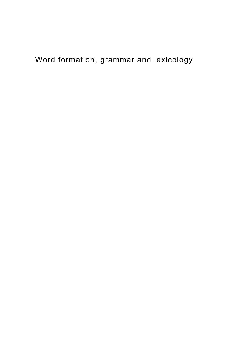## Word formation, grammar and lexicology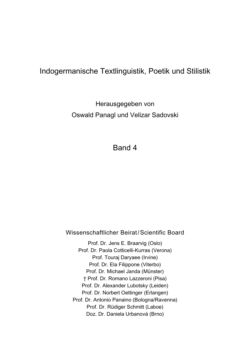### Indogermanische Textlinguistik, Poetik und Stilistik

Herausgegeben von Oswald Panagl und Velizar Sadovski

Band 4

Wissenschaftlicher Beirat/Scientific Board

Prof. Dr. Jens E. Braarvig (Oslo) Prof. Dr. Paola Cotticelli-Kurras (Verona) Prof. Touraj Daryaee (Irvine) Prof. Dr. Ela Filippone (Viterbo) Prof. Dr. Michael Janda (Münster) † Prof. Dr. Romano Lazzeroni (Pisa) Prof. Dr. Alexander Lubotsky (Leiden) Prof. Dr. Norbert Oettinger (Erlangen) Prof. Dr. Antonio Panaino (Bologna/Ravenna) Prof. Dr. Rüdiger Schmitt (Laboe) Doz. Dr. Daniela Urbanová (Brno)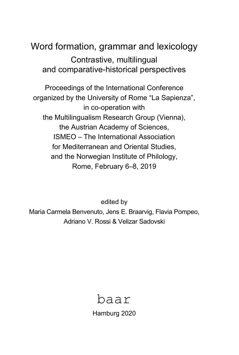# Word formation, grammar and lexicology Contrastive, multilingual and comparative-historical perspectives

Proceedings of the International Conference organized by the University of Rome "La Sapienza", in co-operation with the Multilingualism Research Group (Vienna), the Austrian Academy of Sciences, ISMEO – The International Association for Mediterranean and Oriental Studies, and the Norwegian Institute of Philology, Rome, February 6–8, 2019

edited by Maria Carmela Benvenuto, Jens E. Braarvig, Flavia Pompeo, Adriano V. Rossi & Velizar Sadovski



Hamburg 2020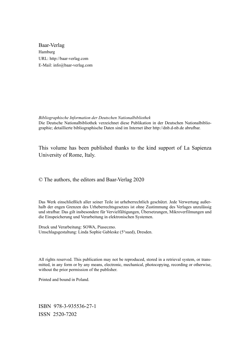Baar-Verlag Hamburg URL: http://baar-verlag.com E-Mail: info@baar-verlag.com

*Bibliographische Information der Deutschen Nationalbibliothek*  Die Deutsche Nationalbibliothek verzeichnet diese Publikation in der Deutschen Nationalbibliographie; detaillierte bibliographische Daten sind im Internet über http://dnb.d-nb.de abrufbar.

This volume has been published thanks to the kind support of La Sapienza University of Rome, Italy.

© The authors, the editors and Baar-Verlag 2020

Das Werk einschließlich aller seiner Teile ist urheberrechtlich geschützt. Jede Verwertung außerhalb der engen Grenzen des Urheberrechtsgesetzes ist ohne Zustimmung des Verlages unzulässig und strafbar. Das gilt insbesondere für Vervielfältigungen, Übersetzungen, Mikroverfilmungen und die Einspeicherung und Verarbeitung in elektronischen Systemen.

Druck und Verarbeitung: SOWA, Piaseczno. Umschlagsgestaltung: Linda Sophie Gableske (5°sued), Dresden.

All rights reserved. This publication may not be reproduced, stored in a retrieval system, or transmitted, in any form or by any means, electronic, mechanical, photocopying, recording or otherwise, without the prior permission of the publisher.

Printed and bound in Poland.

ISBN 978-3-935536-27-1 ISSN 2520-7202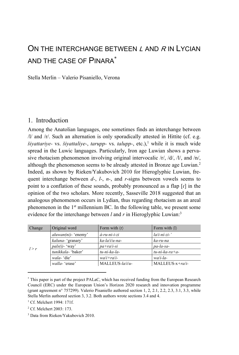## ON THE INTERCHANGE BETWEEN L AND R IN LYCIAN AND THE CASE OF PINARA\*

Stella Merlin – Valerio Pisaniello, Verona

#### 1. Introduction

Among the Anatolian languages, one sometimes finds an interchange between /l/ and /r/. Such an alternation is only sporadically attested in Hittite (cf. e.g. *šiyattariye-* vs. *šiyattaliye-, tarupp-* vs. *talupp-*, etc.),<sup>1</sup> while it is much wide spread in the Luwic languages. Particularly, Iron age Luwian shows a pervasive rhotacism phenomenon involving original intervocalic /r/, /d/, /l/, and /n/, although the phenomenon seems to be already attested in Bronze age Luwian.<sup>2</sup> Indeed, as shown by Rieken/Yakubovich 2010 for Hieroglyphic Luwian, frequent interchange between *d-*, *l-*, *n-*, and *r*-signs between vowels seems to point to a conflation of these sounds, probably pronounced as a flap [ɾ] in the opinion of the two scholars. More recently, Sasseville 2018 suggested that an analogous phenomenon occurs in Lydian, thus regarding rhotacism as an areal phenomenon in the  $1<sup>st</sup>$  millennium BC. In the following table, we present some evidence for the interchange between *l* and *r* in Hieroglyphic Luwian:<sup>3</sup>

| Change | Original word                | Form with $\langle r \rangle$ | Form with $\langle \mathbf{l} \rangle$ |
|--------|------------------------------|-------------------------------|----------------------------------------|
| l > r  | $\alpha$ luwan(ni) - 'enemy' | á-ru-ni-i-zi                  | $la/i-ni-zi-$                          |
|        | kaluna- 'granary'            | ka-la/i/u-na-                 | ka-ru-na                               |
|        | $pals(i)$ - 'way'            | $pa+ra/i-si$                  | pa-la-sa-                              |
|        | tunikkala- 'baker'           | tu-ni-ka-la-                  | $tu$ -ni-ka-ra+a-                      |
|        | wala-'die'                   | $walit + rali-$               | $wali$ -la-                            |
|        | walla-'erase'                | MALLEUS-la/i/u-               | $MALLEUS-x+ra/i-$                      |

<sup>\*</sup> This paper is part of the project PALaC, which has received funding from the European Research Council (ERC) under the European Union's Horizon 2020 research and innovation programme (grant agreement n° 757299). Valerio Pisaniello authored section 1, 2, 2.1, 2.2, 2.3, 3.1, 3.3, while Stella Merlin authored section 3, 3.2. Both authors wrote sections 3.4 and 4.

<sup>&</sup>lt;sup>1</sup> Cf. Melchert 1994: 171f.

<sup>2</sup> Cf. Melchert 2003: 173.

<sup>3</sup> Data from Rieken/Yakubovich 2010.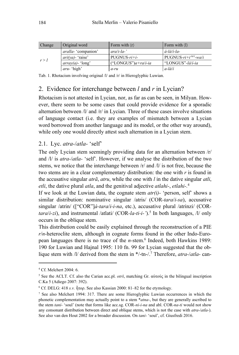| Change | Original word              | Form with $\langle r \rangle$ | Form with $\langle 1 \rangle$ |
|--------|----------------------------|-------------------------------|-------------------------------|
| r > l  | <i>aralla-</i> 'companion' | $arab - la -'$                | á-lá/í-la-                    |
|        | $ari(va)$ - 'raise'        | $PUGNUS-ri+i-$                | PUGNUS- $ri+idi/i$ -wa/i      |
|        | $array(a)$ -'long'         | ("LONGUS") $a + ra/i - ia$    | "LONGUS"-lá/í-ia              |
|        | <i>aru</i> - 'high'        | a-ru                          | $a$ -lá/í                     |

Tab. 1. Rhotacism involving original /l/ and /r/ in Hieroglyphic Luwian.

### 2. Evidence for interchange between *l* and *r* in Lycian?

Rhotacism is not attested in Lycian, nor, as far as can be seen, in Milyan. However, there seem to be some cases that could provide evidence for a sporadic alternation between /l/ and /r/ in Lycian. Three of these cases involve situations of language contact (i.e. they are examples of mismatch between a Lycian word borrowed from another language and its model, or the other way around), while only one would directly attest such alternation in a Lycian stem.

#### 2.1. Lyc. *atra-*/*atla-* 'self'

The only Lycian stem seemingly providing data for an alternation between /r/ and /l/ is *atra-*/*atla-* 'self'. However, if we analyse the distribution of the two stems, we notice that the interchange between /r/ and /l/ is not free, because the two stems are in a clear complementary distribution: the one with *r* is found in the accusative singular *atrã*, *atru*, while the one with *l* in the dative singular *atli*, *etli*, the dative plural *atla*, and the genitival adjective *atlahi-*, *etlahi-.*<sup>4</sup>

If we look at the Luwian data, the cognate stem *atr(i)-* 'person, self' shows a similar distribution: nominative singular /atris/ (COR*-tara*/*i-sa*), accusative singular /atrin/ (["COR"]*á-tara*/*i-i-na*, etc.), accusative plural /atrinzi/ (COR*tara*/*i-zi*), and instrumental /atlati/ (COR*-la-ti-i-'*).5 In both languages, /l/ only occurs in the oblique stem.

This distribution could be easily explained through the reconstruction of a PIE *r*/*n*-heteroclite stem, although in cognate forms found in the other Indo-European languages there is no trace of the *n*-stem.<sup>6</sup> Indeed, both Hawkins 1989: 190 for Luwian and Hajnal 1995: 110 fn. 99 for Lycian suggested that the oblique stem with /l/ derived from the stem in \*/-tn-/.7 Therefore, *atra-*/*atla-* can-

<sup>4</sup> Cf. Melchert 2004: 6.

<sup>5</sup> See the ACLT. Cf. also the Carian acc.pl. *otrš*, matching Gr. αὐτούς in the bilingual inscription C.Ka 5 (Adiego 2007: 392).

<sup>&</sup>lt;sup>6</sup> Cf. DELG: 418 *s.v.* ἦτορ. See also Kassian 2000: 81–82 for the etymology.

<sup>&</sup>lt;sup>7</sup> See also Melchert 1994: 317. There are some Hieroglyphic Luwian occurrences in which the phonetic complementation may actually point to a stem \**atna-*, but they are generally ascribed to the stem *tani-* 'soul' (note that forms like acc.sg. COR*-ni-i-na* and abl. COR*-na-ti* would not show any consonant distribution between direct and oblique stems, which is not the case with *atra-*/*atla-*). See also van den Hout 2002 for a broader discussion. On *tani-* 'soul', cf. Giusfredi 2016.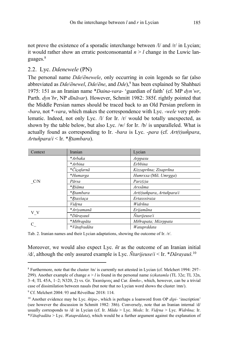not prove the existence of a sporadic interchange between /l/ and /r/ in Lycian; it would rather show an erratic postconsonantal  $n > l$  change in the Luwic languages.<sup>8</sup>

#### 2.2. Lyc. *Ddenewele* (PN)

The personal name *Dde*/*ẽnewele*, only occurring in coin legends so far (also abbreviated as *Dde*/*ẽnewel*, *Dde*/*ẽne*, and *Dde*),9 has been explained by Shahbazi 1975: 151 as an Iranian name \**Daina-vara-* 'guardian of faith' (cf. MP *dyn'wr*, Parth. *dyn'br*, NP *dīnāvar*). However, Schmitt 1982: 385f. rightly pointed that the Middle Persian names should be traced back to an Old Persian preform in -*bara*, not \**-vara*, which makes the correspondence with Lyc. -*wele* very problematic. Indeed, not only Lyc. /l/ for Ir. /r/ would be totally unexpected, as shown by the table below, but also Lyc. /w/ for Ir. /b/ is unparalleled. What is actually found as corresponding to Ir. *-bara* is Lyc. *-para* (cf. *Art(t)um͂para*, *Artuñpara*/*i* < Ir. \**R̥tambara*).

| Context | Iranian      | Lycian                     |  |
|---------|--------------|----------------------------|--|
|         | *Arbaka      | Arppaxu                    |  |
|         | *Arbina      | Erbbina                    |  |
|         | *Čiçafarnā   | Kizzaprñna; Zisaprñna      |  |
|         | *Humarga     | Humrxxa (Mil. Umrgga)      |  |
| C/N     | Pārsa        | Parz(z)a                   |  |
|         | *Ršāma       | Arssãma                    |  |
|         | *Rtambara    | Art(t)um̃para, Artuñpara/i |  |
|         | *Rtaxšaça    | Ertaxssiraza               |  |
|         | Vidrna       | Widrñna                    |  |
|         | *Arivamanā   | Erijamãna                  |  |
| V V     | *Dāravauš    | Ntarijeuse/i               |  |
|         | *Miθrapāta   | Miθrapata; Mizrppata       |  |
|         | *Vātafradāta | Wataprddata                |  |

Tab. 2. Iranian names and their Lycian adaptations, showing the outcome of Ir. /r/.

Moreover, we would also expect Lyc. *ñt* as the outcome of an Iranian initial /d/, although the only assured example is Lyc. *Ñtarijeuse*/*i* < Ir. \**Dārayauš.*<sup>10</sup>

<sup>8</sup> Furthermore, note that the cluster /tn/ is currently not attested in Lycian (cf. Melchert 1994: 297– 299). Another example of change *n* > *l* is found in the personal name *(e)katamla* (TL 32e; TL 32n, 3–4; TL 45A, 1–2; N320, 2) vs. Gr. Ἑκατόμνος and Car. *k̑ tmño-*, which, however, can be a trivial case of dissimilation between nasals (but note that no Lycian word shows the cluster /mn/).

<sup>&</sup>lt;sup>9</sup> Cf. Melchert 2004: 93 and Réveilhac 2018: 114.

<sup>10</sup> Another evidence may be Lyc. *ñtipa-*, which is perhaps a loanword from OP *dipi-* 'inscription' (see however the discussion in Schmitt 1982: 386). Conversely, note that an Iranian internal /d/ usually corresponds to /d/ in Lycian (cf. Ir. *Māda* > Lyc. *Mede;* Ir. *Vidr̥na* > Lyc. *Widrñna;* Ir. \**Vātafradāta* > Lyc. *Wataprddata*), which would be a further argument against the explanation of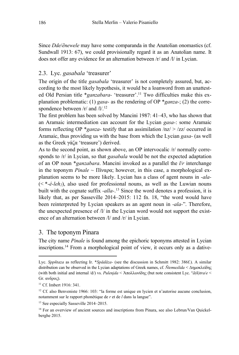Since *Dde*/*ẽnewele* may have some comparanda in the Anatolian onomastics (cf. Sundwall 1913: 67), we could provisionally regard it as an Anatolian name. It does not offer any evidence for an alternation between /r/ and /l/ in Lycian.

#### 2.3. Lyc. *gasabala* 'treasurer'

The origin of the title *gasabala* 'treasurer' is not completely assured, but, according to the most likely hypothesis, it would be a loanword from an unattested Old Persian title \**ganzabara*- 'treasurer'.<sup>11</sup> Two difficulties make this explanation problematic: (1) *gasa-* as the rendering of OP \**ganza-*; (2) the correspondence between  $/r/$  and  $/l/$ .<sup>12</sup>

The first problem has been solved by Mancini 1987: 41–43, who has shown that an Aramaic intermediation can account for the Lycian *gasa-*: some Aramaic forms reflecting OP \**ganza-* testify that an assimilation /nz/ > /zz/ occurred in Aramaic, thus providing us with the base from which the Lycian *gasa-* (as well as the Greek γάζα 'treasure') derived.

As to the second point, as shown above, an OP intervocalic  $\pi$  normally corresponds to /r/ in Lycian, so that *gasabala* would be not the expected adaptation of an OP noun \**ganzabara*. Mancini invoked as a parallel the *l*/*r* interchange in the toponym *Pinale* ~ Πίναρα; however, in this case, a morphological explanation seems to be more likely. Lycian has a class of agent nouns in *-ala-*  $(\langle *-\hat{e}-\hat{e}+\hat{e}+\hat{e}+\hat{e}\rangle)$ , also used for professional nouns, as well as the Luwian nouns built with the cognate suffix *-alla-*. 13 Since the word denotes a profession, it is likely that, as per Sasseville 2014–2015: 112 fn. 18, "the word would have been reinterpreted by Lycian speakers as an agent noun in *-ala-*". Therefore, the unexpected presence of /l/ in the Lycian word would not support the existence of an alternation between /l/ and /r/ in Lycian.

#### 3. The toponym Pinara

The city name *Pinale* is found among the epichoric toponyms attested in Lycian inscriptions.14 From a morphological point of view, it occurs only as a dative-

Lyc. *Sppñtaza* as reflecting Ir. \**Spādāza-* (see the discussion in Schmitt 1982: 386f.). A similar distribution can be observed in the Lycian adaptations of Greek names, cf. *Ñtemuxlida* < Δημοκλείδης (with both initial and internal /d/) vs. *Pulenjda* < Ἀπολλωνίδης (but note consistent Lyc. °*ã(ñ)tra*/*e* < Gr. ανδρος).

<sup>&</sup>lt;sup>11</sup> Cf. Imbert 1916: 341.

<sup>&</sup>lt;sup>12</sup> Cf. also Benveniste 1966: 103: "la forme est unique en lycien et n'autorise aucune conclusion, notamment sur le rapport phonétique de *r* et de *l* dans la langue".

<sup>&</sup>lt;sup>13</sup> See especially Sasseville 2014–2015.

<sup>&</sup>lt;sup>14</sup> For an overview of ancient sources and inscriptions from Pinara, see also Lebrun/Van Quickelberghe 2015.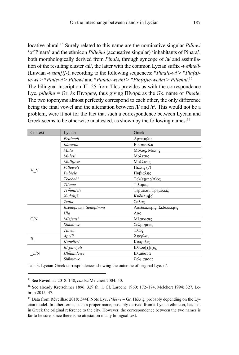locative plural.<sup>15</sup> Surely related to this name are the nominative singular *Pillewi* 'of Pinara' and the ethnicon *Pilleñni* (accusative singular) 'inhabitants of Pinara'. both morphologically derived from *Pinale*, through syncope of /a/ and assimilation of the resulting cluster /nl/, the latter with the common Lycian suffix -wenneli-(Luwian -wann[ $\bar{u}$ ]-), according to the following sequences: \**Pinale-wi* > \**Pin(a)* $le-wi$  > \*Pinlewi > Pillewi and \*Pinale-weñni > \*Pin(a)le-weñni > Pilleñni.<sup>16</sup> The bilingual inscription TL 25 from Tlos provides us with the correspondence Lyc. *pillenni* = Gr.  $\dot{\epsilon}$  K  $\Pi v \dot{\alpha}$   $\rho \omega v$ , thus giving  $\Pi v \alpha \rho \alpha$  as the Gk. name of *Pinale*. The two toponyms almost perfectly correspond to each other, the only difference being the final vowel and the alternation between  $\frac{1}{a}$  and  $\frac{1}{r}$ . This would not be a problem, were it not for the fact that such a correspondence between Lycian and Greek seems to be otherwise unattested, as shown by the following names:  $17$ 

| Context | Lycian                | Greek                   |  |
|---------|-----------------------|-------------------------|--|
|         | Erttimeli             | Αρτεμηλις               |  |
|         | Idazzala              | Ειδασσαλα               |  |
|         | Mula                  | Μολας, Μολης            |  |
|         | Mulesi                | Μολεσις                 |  |
|         | Mullijese             | Μολλισις                |  |
| V V     | Pillewe/i             | Πιλλις(?)               |  |
|         | Pubiele               | Πυβιαλης                |  |
|         | Telebehi              | Τελ(ε)μης(σ)ός          |  |
|         | Tilume                | Τιλομας                 |  |
|         | Trmmile/i             | Τερμίλαι, Τρεμιλεῖς     |  |
|         | Xudalijê              | Κυδαλιη[ς]              |  |
|         | Zzala                 | Σαλας                   |  |
|         | Esedeplẽmi, Sedeplmmi | Ασεδεπλεμις, Σεδεπλεμις |  |
|         | Hla                   | $\Lambda$ ας            |  |
| C/N     | Mlejeusi              | Μλαυασις                |  |
|         | Slmmewe               | Σελμαμοας               |  |
|         | Tlawa                 | Τλως                    |  |
|         | $Ardl^{\circ}$        | Άπερλαι                 |  |
| $R_{-}$ | Kuprlle/i             | Κοπριλις                |  |
|         | $E$ [[puw]eti         | Ελποα[τ]τ[ις]           |  |
| C/N     | Hlmmidewe             | Ελμιδαυα                |  |
|         | Slmmewe               | Σελμαμοας               |  |

Tab. 3. Lycian-Greek correspondences showing the outcome of original Lyc. /l/.

<sup>&</sup>lt;sup>15</sup> See Réveilhac 2018: 148. *contra* Melchert 2004: 50.

<sup>&</sup>lt;sup>16</sup> See already Kretschmer 1896: 329 fn. 1. Cf. Laroche 1960: 172-174, Melchert 1994: 327, Lebrun 2015: 47.

<sup>&</sup>lt;sup>17</sup> Data from Réveilhac 2018: 344f. Note Lyc. Pillewi = Gr. Πιλλις, probably depending on the Lycian model. In other terms, such a proper name, possibly derived from a Lycian ethnicon, has lost in Greek the original reference to the city. However, the correspondence between the two names is far to be sure, since there is no attestation in any bilingual text.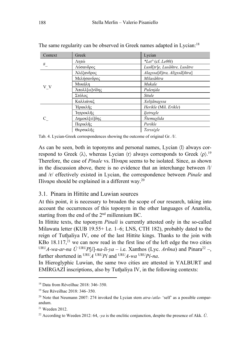| Context   | Greek         | Lycian                                         |  |
|-----------|---------------|------------------------------------------------|--|
|           | Λητώ          | *Let <sup>o</sup> (cf. Le $\theta$ $\theta$ i) |  |
| $\#_{\_}$ | Λύσανδρος     | Lusñ[tr]e, Lusãñtre, Lusãtre                   |  |
|           | Αλέξανδρος    | Alaxssa[ñ]tra, Alixssã[ñtra]                   |  |
|           | Μελήσανδρος   | Milasãñtra                                     |  |
| V V       | Μυκάλη        | Mukale                                         |  |
|           | Άπολλ[ω]νίδης | Pulenjda                                       |  |
|           | Στόλος        | <b>Sttule</b>                                  |  |
|           | Καλλιάναξ     | Xelijãnayssa                                   |  |
|           | Ήρακλῆς       | Herikle (Mil. Erikle)                          |  |
|           | Ίητροκλῆς     | ljetruyle                                      |  |
| C         | Δημοκλ[εί]δης | Ntemuxlida                                     |  |
|           | Περικλῆς      | Perikle                                        |  |
|           | Θερσικλῆς     | Terssiyle                                      |  |

The same regularity can be observed in Greek names adapted in Lycian:<sup>18</sup>

Tab. 4. Lycian-Greek correspondences showing the outcome of original Gr. /l/.

As can be seen, both in toponyms and personal names, Lycian  $\langle \mathbf{l} \rangle$  always correspond to Greek  $\langle \lambda \rangle$ , whereas Lycian  $\langle r \rangle$  always corresponds to Greek  $\langle \rho \rangle$ <sup>19</sup> Therefore, the case of *Pinale* vs. Πίναρα seems to be isolated. Since, as shown in the discussion above, there is no evidence that an interchange between  $\Lambda$ and /r/ effectively existed in Lycian, the correspondence between *Pinale* and Πίναρα should be explained in a different way.<sup>20</sup>

#### 3.1. Pinara in Hittite and Luwian sources

At this point, it is necessary to broaden the scope of our research, taking into account the occurrences of this toponym in the other languages of Anatolia, starting from the end of the  $2<sup>nd</sup>$  millennium BC.

In Hittite texts, the toponym *Pinali* is currently attested only in the so-called Milawata letter (KUB 19.55+ l.e. 1–6; LNS, CTH 182), probably dated to the reign of Tuthaliya IV, one of the last Hittite kings. Thanks to the join with KBo  $18.117<sub>1</sub><sup>21</sup>$  we can now read in the first line of the left edge the two cities URUA-wa-ar-na  $\dot{U}$ <sup>URU</sup>P[i]-na-li-ya – i.e. Xanthos (Lyc. Arm̃na) and Pinara<sup>22</sup> –, further shortened in  $^{URU}A^{URU}P^i$  and  $^{URU}A$ -wa  $^{URU}P^i$ -na.

In Hieroglyphic Luwian, the same two cities are attested in YALBURT and EMIRGAZI inscriptions, also by Tuthaliya IV, in the following contexts:

 $18$  Data from Réveilhac 2018: 346-350.

<sup>&</sup>lt;sup>19</sup> See Réveilhac 2018: 346-350.

<sup>&</sup>lt;sup>20</sup> Note that Neumann 2007: 274 invoked the Lycian stem  $atra$ -/atla- 'self' as a possible comparandum.

 $21$  Weeden 2012.

<sup>&</sup>lt;sup>22</sup> According to Weeden 2012: 64, *ya* is the enclitic conjunction, despite the presence of Akk.  $\dot{U}$ .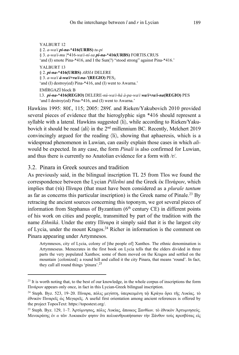YALBURT 12 § 2. *a-wa*/*i pi-na-***\*416(URBS)** *tu-pi* § 3. *a-wa*/*i-mu* |\*416*-wa*/*i-ní-sa pi-na-***\*416(URBS)** FORTIS.CRUS 'and (I) smote Pina-\*416, and I the Sun(?) "stood strong" against Pina-\*416.' YALBURT 13 § 2. *pi-na-***\*416(URBS)** *ARHA* DELERE § 3. *a-wa*/*i á-wa***/***i+ra***/***i-na-'***(REGIO)** PES2 'and (I) destroy(ed) Pina-\*416, and (I) went to Awarna.' EMİRGAZİ block B l.3. *pi-na-***\*416(REGIO)** DELERE*-nú-wa*/*i-há à-pa-wa*/*i wa***/***i+ra***/***i-na***(REGIO)** PES 'and I destroy(ed) Pina-\*416, and (I) went to Awarna.'

Hawkins 1995: 80f., 115; 2005: 289f. and Rieken/Yakubovich 2010 provided several pieces of evidence that the hieroglyphic sign \*416 should represent a syllable with a lateral. Hawkins suggested  $\langle li \rangle$ , while according to Rieken/Yakubovich it should be read  $\langle \text{ali} \rangle$  in the  $2^{\text{nd}}$  millennium BC. Recently, Melchert 2019 convincingly argued for the reading  $\langle \text{li} \rangle$ , showing that aphaeresis, which is a widespread phenomenon in Luwian, can easily explain those cases in which *ali*would be expected. In any case, the form *Pinali* is also confirmed for Luwian, and thus there is currently no Anatolian evidence for a form with /r/.

#### 3.2. Pinara in Greek sources and tradition

As previously said, in the bilingual inscription TL 25 from Tlos we found the correspondence between the Lycian *Pilleñni* and the Greek ἐκ Πινάρων, which implies that (τὰ) Πίναρα (that must have been considered as a *plurale tantum*  as far as concerns this particular inscription) is the Greek name of Pinale.<sup>23</sup> By retracing the ancient sources concerning this toponym, we got several pieces of information from Stephanus of Byzantium  $(6<sup>th</sup>$  century CE) in different points of his work on cities and people, transmitted by part of the tradition with the name *Ethniká*. Under the entry Πίναρα it simply said that it is the largest city of Lycia, under the mount Kragos.24 Richer in information is the comment on Pinara appearing under Artymnesos.

Artymnesos, city of Lycia, colony of [the people of] Xanthos. The ethnic denomination is Artymneseus. Menecrates in the first book on Lycia tells that the elders divided in three parts the very populated Xanthos; some of them moved on the Kragos and settled on the mountain {colonized} a round hill and called it the city Pinara, that means 'round'. In fact, they call all round things 'pinara'.<sup>25</sup>

<sup>&</sup>lt;sup>23</sup> It is worth noting that, to the best of our knowledge, in the whole corpus of inscriptions the form Πινάρων appears only once, in fact in this Lycian-Greek bilingual inscription.

<sup>&</sup>lt;sup>24</sup> Steph. Byz. 523, 19–20. Πίναρα, πόλις μεγίστη, υπερκειμένη τῶ Κράγω ὄρει τῆς Λυκίας. τὸ ἐθνικὸν Πιναρεῖς ὡς Μεγαρεῖς. A useful first orientation among ancient references is offered by the project ToposText: https://topostext.org/.

<sup>25</sup> Steph. Byz. 129, 1–7. Ἀρτύμνησος, πόλις Λυκίας, ἄποικος Ξανθίων. τὸ ἐθνικὸν Ἀρτυμνησεύς. Μενεκράτης ἐν *α* τῶν Λυκιακῶν φησιν ὅτι πολυανθρωπήσασαν τὴν Ξάνθον τοὺς πρεσβύτας εἰς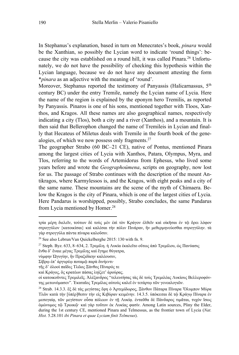In Stephanus's explanation, based in turn on Menecrates's book, *pinara* would be the Xanthian, so possibly the Lycian word to indicate 'round things': because the city was established on a round hill, it was called Pinara.<sup>26</sup> Unfortunately, we do not have the possibility of checking this hypothesis within the Lycian language, because we do not have any document attesting the form \**pinara* as an adjective with the meaning of 'round'.

Moreover, Stephanus reported the testimony of Panyassis (Halicarnassus, 5<sup>th</sup>) century BC) under the entry Tremile, namely the Lycian name of Lycia. Here the name of the region is explained by the eponym hero Tremilis, as reported by Panyassis. Pinaros is one of his sons, mentioned together with Tloos, Xanthos, and Kragos. All these names are also geographical names, respectively indicating a city (Tlos), both a city and a river (Xanthos), and a mountain. It is then said that Bellerophon changed the name of Tremileis in Lycian and finally that Hecateus of Miletus deals with Tremile in the fourth book of the genealogies, of which we now possess only fragments. $27$ 

The geographer Strabo (60 BC–21 CE), native of Pontus, mentioned Pinara among the largest cities of Lycia with Xanthos, Patara, Olympus, Myra, and Tlos, referring to the words of Artemidorus from Ephesus, who lived some years before and wrote the *Geographoúmena*, scripts on geography, now lost for us. The passage of Strabo continues with the description of the mount Antikragos, where Karmylessos is, and the Kragos, with eight peaks and a city of the same name. These mountains are the scene of the myth of Chimaera. Below the Kragos is the city of Pinara, which is one of the largest cities of Lycia. Here Pandarus is worshipped, possibly, Strabo concludes, the same Pandarus from Lycia mentioned by Homer.<sup>28</sup>

νύμφην Ὠγυγίην, ἣν Πραξιδίκην καλέουσιν,

τρία μέρη διελεῖν, τούτων δὲ τοὺς μὲν ἐπὶ τὸν Κράγον ἐλθεῖν καὶ οἰκῆσαι ἐν τῷ ὄρει λόφον στρογγύλον {κατοικίσαι} καὶ καλέσαι τὴν πόλιν Πινάραν, ἣν μεθερμηνεύεσθαι στρογγύλην. τὰ γὰρ στρογγύλα πάντα πίναρα καλοῦσιν.

<sup>26</sup> See also Lebrun/Van Quickelberghe 2015: 130 with fn. 9.

<sup>&</sup>lt;sup>27</sup> Steph. Byz. 633, 8–634, 2. Τρεμίλη. ή Λυκία έκαλεῖτο οὕτως ἀπὸ Τρεμίλου, ὡς Πανύασις ἔνθα δ' ἔναιε μέγας Τρεμίλης καὶ ἔγημε θύγατρα,

Σίβρῳ ἐπ' ἀργυρέῳ ποταμῷ παρὰ δινήεντι·

τῆς δ' ὀλοοὶ παῖδες Τλῶος Ξάνθος Πίναρός τε

καὶ Κράγος, ὃς κρατέων πάσας ληίζετ' ἀρούρας.

οἱ κατοικοῦντες Τρεμιλεῖς. Ἀλέξανδρος "τελευτήσας τὰς δὲ τοὺς Τρεμιλέας Λυκίους Βελλεροφόντης μετωνόμασεν". Ἑκαταῖος Τρεμίλας αὐτοὺς καλεῖ ἐν τετάρτῳ τῶν γενεαλογιῶν.

<sup>&</sup>lt;sup>28</sup> Strab. 14.3.3. ἓξ δὲ τὰς μεγίστας ἔφη ὁ Ἀρτεμίδωρος, Ξάνθον Πάταρα Πίναρα Όλυμπον Μύρα Τλῶν κατὰ τὴν [ὑπέρ]θεσιν τὴν εἰς Κιβύραν κειμένην. 14.3.5. ὑπόκειται δὲ τῷ Κράγῳ Πίναρα ἐν μεσογαίᾳ, τῶν μεγίστων οὖσα πόλεων ἐν τῇ Λυκίᾳ. ἐνταῦθα δὲ Πάνδαρος τιμᾶται, τυχὸν ἴσως ὁμώνυμος τῷ Τρωικῷ· καὶ γὰρ τοῦτον ἐκ Λυκίας φασίν. Among Latin sources, Pliny the Elder, during the 1st century CE, mentioned Pinara and Telmessus, as the frontier town of Lycia (*Nat. Hist.* 5.28.101 *ibi Pinara et quae Lyciam finit Telmesus*).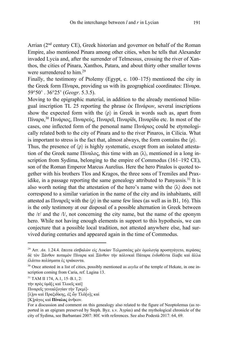Arrian  $(2<sup>nd</sup>$  century CE), Greek historian and governor on behalf of the Roman Empire, also mentioned Pinara among other cities, when he tells that Alexander invaded Lycia and, after the surrender of Telmessus, crossing the river of Xanthos, the cities of Pinara, Xanthos, Patara, and about thirty other smaller towns were surrendered to him.29

Finally, the testimony of Ptolemy (Egypt, c. 100–175) mentioned the city in the Greek form Πίναρα, providing us with its geographical coordinates: Πίναρα. 59°50' . 36°25' (*Geogr*. 5.3.5).

Moving to the epigraphic material, in addition to the already mentioned bilingual inscription TL 25 reporting the phrase ἐκ Πινάρων, several inscriptions show the expected form with the  $\langle \rho \rangle$  in Greek in words such as, apart from Πίναρα,<sup>30</sup> Πινάριος, Πιναρεύς, Πιναρεῖ, Πιναρίδι, Πιναρίδα etc. In most of the cases, one inflected form of the personal name Πινάριος could be etymologically related both to the city of Pinara and to the river Pinaros, in Cilicia. What is important to stress is the fact that, almost always, the form contains the  $\langle \rho \rangle$ .

Thus, the presence of  $\langle \rho \rangle$  is highly systematic, except from an isolated attestation of the Greek name Πίναλος, this time with an  $\langle \lambda \rangle$ , mentioned in a long inscription from Sydima, belonging to the empire of Commodus (161–192 CE), son of the Roman Emperor Marcus Aurelius. Here the hero Pinalos is quoted together with his brothers Tlos and Kragos, the three sons of Tremiles and Praxidike, in a passage reporting the same genealogy attributed to Panyassis.<sup>31</sup> It is also worth noting that the attestation of the hero's name with the  $\langle \lambda \rangle$  does not correspond to a similar variation in the name of the city and its inhabitants, still attested as Πιναρεῖς with the  $\langle \rho \rangle$  in the same few lines (as well as in B1, 16). This is the only testimony at our disposal of a possible alternation in Greek between the /r/ and the /l/, not concerning the city name, but the name of the eponym hero. While not having enough elements in support to this hypothesis, we can conjecture that a possible local tradition, not attested anywhere else, had survived during centuries and appeared again in the time of Commodus.

<sup>29</sup> Arr. *An.* 1.24.4. ἔπειτα εἰσβαλὼν εἰς Λυκίαν Τελμισσέας μὲν ὁμολογίᾳ προσηγάγετο, περάσας δὲ τὸν Ξάνθον ποταμὸν Πίναρα καὶ Ξάνθον τὴν πόλινκαὶ Πάταρα ἐνδοθέντα ἔλαβε καὶ ἄλλα ἐλάττω πολίσματα ἐς τριάκοντα.

<sup>30</sup> Once attested in a list of cities, possibly mentioned as *asylia* of the temple of Hekate, in one inscription coming from Caria, ref. Lagina 13.

<sup>31</sup> TAM II 174, A.1, 15–B.1, 2:

τὴν πρὸς ὑμᾶ[ς καὶ Τλωεῖς καὶ]

Πιναρεῖς γενεαλ[ογίαν τὴν Τρεμί]-

<sup>[</sup>λ]ο̣υ καὶ Πραξιδίκης, ἐξ ὧν̣Τλῶ[ο]ς καὶ

<sup>[</sup>Κ]ράγος καὶ **Πίναλος** ἀνῆκον.

For a discussion and comment on this genealogy also related to the figure of Neoptolemus (as reported in an epigram preserved by Steph. Byz. s.v. Ἀγρίαι) and the mythological chronicle of the city of Sydima, see Barbantani 2007: 80f. with references. See also Podestà 2017: 64, 69.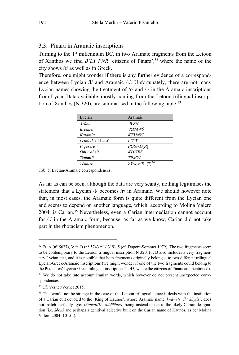#### 3.3. Pinara in Aramaic inscriptions

Turning to the 1<sup>st</sup> millennium BC, in two Aramaic fragments from the Letoon of Xanthos we find  $B'LY$  PNR 'citizens of Pinara',  $32$  where the name of the city shows  $\frac{r}{a}$  as well as in Greek.

Therefore, one might wonder if there is any further evidence of a correspondence between Lycian /l/ and Aramaic /r/. Unfortunately, there are not many Lycian names showing the treatment of  $/r$  and  $/l$  in the Aramaic inscriptions from Lycia. Data available, mostly coming from the Letoon trilingual inscription of Xanthos (N 320), are summarised in the following table: $33$ 

| Lycian            | Aramaic                     |
|-------------------|-----------------------------|
| Arñna             | 'WRN                        |
| Ertême/i          | 'RTMWŠ                      |
| Katamla           | <b>KTMNW</b>                |
| Leθθe/i 'of Leto' | $L^*TW$                     |
| Pigesere          | PGSWD[R]                    |
| Oñturahe/i        | <b>KDWRS</b>                |
| Trmmili           | TRMYL                       |
| <i>Z</i> emure    | $ZYM[WR]$ (?) <sup>34</sup> |

Tab. 5. Lycian-Aramaic correspondences.

As far as can be seen, although the data are very scanty, nothing legitimises the statement that a Lycian /l/ becomes /r/ in Aramaic. We should however note that, in most cases, the Aramaic form is quite different from the Lycian one and seems to depend on another language, which, according to Molina Valero 2004, is Carian.<sup>35</sup> Nevertheless, even a Carian intermediation cannot account for  $|r|$  in the Aramaic form, because, as far as we know, Carian did not take part in the rhotacism phenomenon.

<sup>&</sup>lt;sup>32</sup> Fr. A (n° 5627), 3; fr. B (n° 5743 = N 319), 5 (cf. Dupont-Sommer 1979). The two fragments seem to be contemporary to the Letoon trilingual inscription N 320. Fr. B also includes a very fragmentary Lycian text, and it is possible that both fragments originally belonged to two different trilingual Lycian-Greek-Aramaic inscriptions (we might wonder if one of the two fragments could belong to the Pixodaros' Lycian-Greek bilingual inscription TL 45, where the citizens of Pinara are mentioned).

<sup>&</sup>lt;sup>33</sup> We do not take into account Iranian words, which however do not present unexpected correspondences.

<sup>&</sup>lt;sup>34</sup> Cf. Vernet/Vernet 2015.

<sup>&</sup>lt;sup>35</sup> This would not be strange in the case of the Letoon trilingual, since it deals with the institution of a Carian cult devoted to the 'King of Kaunos', whose Aramaic name, kndws/s 'lh' kbydšy, does not match perfectly Lyc. xnitawat(i)-xbidentine/i, being instead closer to the likely Carian designation (i.e. *koous* and perhaps a genitival adjective built on the Carian name of Kaunos, as per Molina Valero 2004: 1015f.).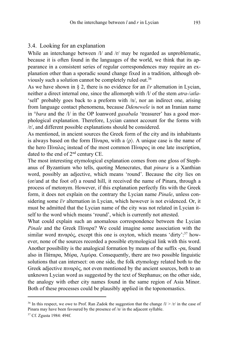#### 3.4. Looking for an explanation

While an interchange between /l/ and /r/ may be regarded as unproblematic, because it is often found in the languages of the world, we think that its appearance in a consistent series of regular correspondences may require an explanation other than a sporadic sound change fixed in a tradition, although obviously such a solution cannot be completely ruled out.36

As we have shown in § 2, there is no evidence for an *l*/*r* alternation in Lycian, neither a direct internal one, since the allomorph with /l/ of the stem *atra-*/*atla-* 'self' probably goes back to a preform with /n/, nor an indirect one, arising from language contact phenomena, because *Ddenewele* is not an Iranian name in °*bara* and the /l/ in the OP loanword *gasabala* 'treasurer' has a good morphological explanation. Therefore, Lycian cannot account for the forms with /r/, and different possible explanations should be considered.

As mentioned, in ancient sources the Greek form of the city and its inhabitants is always based on the form Πίναρα, with a  $\langle \rho \rangle$ . A unique case is the name of the hero Πίναλος instead of the most common Πίναρος in one late inscription, dated to the end of 2<sup>nd</sup> century CE.

The most interesting etymological explanation comes from one gloss of Stephanus of Byzantium who tells, quoting Menecrates, that *pinara* is a Xanthian word, possibly an adjective, which means 'round'. Because the city lies on (or/and at the foot of) a round hill, it received the name of Pinara, through a process of metonym. However, if this explanation perfectly fits with the Greek form, it does not explain on the contrary the Lycian name *Pinale*, unless considering some *l*/*r* alternation in Lycian, which however is not evidenced. Or, it must be admitted that the Lycian name of the city was not related in Lycian itself to the word which means 'round', which is currently not attested.

What could explain such an anomalous correspondence between the Lycian *Pinale* and the Greek Πίναρα? We could imagine some association with the similar word πιναρός, except this one is oxyton, which means 'dirty':<sup>37</sup> however, none of the sources recorded a possible etymological link with this word. Another possibility is the analogical formation by means of the suffix -ρα, found also in Πάταρα, Μύρα, Λιμύρα. Consequently, there are two possible linguistic solutions that can intersect: on one side, the folk etymology related both to the Greek adjective πιναρός, not even mentioned by the ancient sources, both to an unknown Lycian word as suggested by the text of Stephanus; on the other side, the analogy with other city names found in the same region of Asia Minor. Both of these processes could be plausibly applied in the toponomastics.

<sup>&</sup>lt;sup>36</sup> In this respect, we owe to Prof. Ran Zadok the suggestion that the change  $1/$  >  $/r/$  in the case of Pinara may have been favoured by the presence of /n/ in the adjacent syllable.

<sup>37</sup> Cf. Zgusta 1984: 494f.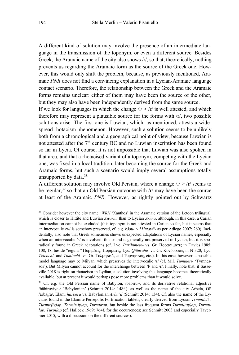A different kind of solution may involve the presence of an intermediate language in the transmission of the toponym, or even a different source. Besides Greek, the Aramaic name of the city also shows /r/, so that, theoretically, nothing prevents us regarding the Aramaic form as the source of the Greek one. However, this would only shift the problem, because, as previously mentioned, Aramaic *PNR* does not find a convincing explanation in a Lycian-Aramaic language contact scenario. Therefore, the relationship between the Greek and the Aramaic forms remains unclear: either of them may have been the source of the other, but they may also have been independently derived from the same source.

If we look for languages in which the change  $\sqrt{l}$  /r/ is well attested, and which therefore may represent a plausible source for the forms with /r/, two possible solutions arise. The first one is Luwian, which, as mentioned, attests a widespread rhotacism phenomenon. However, such a solution seems to be unlikely both from a chronological and a geographical point of view, because Luwian is not attested after the 7<sup>th</sup> century BC and no Luwian inscription has been found so far in Lycia. Of course, it is not impossible that Luwian was also spoken in that area, and that a rhotacised variant of a toponym, competing with the Lycian one, was fixed in a local tradition, later becoming the source for the Greek and Aramaic forms, but such a scenario would imply several assumptions totally unsupported by data.38

A different solution may involve Old Persian, where a change  $\sqrt{l}$  /r/ seems to be regular,  $39$  so that an Old Persian outcome with  $\pi$  may have been the source at least of the Aramaic *PNR*. However, as rightly pointed out by Schwartz

<sup>&</sup>lt;sup>38</sup> Consider however the city name *'WRN* 'Xanthos' in the Aramaic version of the Letoon trilingual, which is closer to Hittite and Luwian *Awarna* than to Lycian *Arñna*, although, in this case, a Carian intermediation cannot be excluded (this toponym is not attested in Carian so far, but it seems that an intervocalic /w/ is somehow preserved, cf. e.g. *kδou-* < \**Hntaw°-* as per Adiego 2007: 260). Incidentally, also note that Greek sometimes shows unexpected adaptations of Lycian names, especially when an intervocalic /s/ is involved: this sound is generally not preserved in Lycian, but it is sporadically found in Greek adaptations (cf. Lyc. *Purihimete-* vs. Gr. Πορασιματις in Davies 1985: 108, 18, beside "regular" Πυριμάτις, Ποριματις; Lyc. *Qñturahe-* vs. Gr. Κονδορασις in N 320; Lyc. *Telebehi-* and *Tuminehi-* vs. Gr. Τελμησσός and Τυμνησσός, etc.). In this case, however, a possible model language may be Milyan, which preserves the intervocalic /s/ (cf. Mil. *Tuminesi-* 'Tymnessos'). But Milyan cannot account for the interchange between /l/ and /r/. Finally, note that, if Sasseville 2018 is right on rhotacism in Lydian, a solution involving this language becomes theoretically available, but at present it would perhaps pose more problems than it would solve.

<sup>&</sup>lt;sup>39</sup> Cf. e.g. the Old Persian name of Babylon, /bābiru-/, and its derivative relational adjective /bābiruviya-/ 'Babylonian' (Schmitt 2014: 148f.), as well as the name of the city Arbela, OP /arbai̯ra/, Elam. *harbera* vs. Babylonian *Arba'il* (Schmitt 2014: 134). Cf. also the name of the Lycians found in the Elamite Persepolis Fortification tablets, clearly derived from Lycian *Trm̃mile*/*i-*: *Turmir(iy)ap*, *Tarmir(iy)ap*, *Turmurap*, but beside the less frequent forms *Turmil(ay)ap*, *Turmulap*, *Turpilap* (cf. Hallock 1969: 764f. for the occurrences; see Schmitt 2003 and especially Tavernier 2015, with a discussion on the different sources).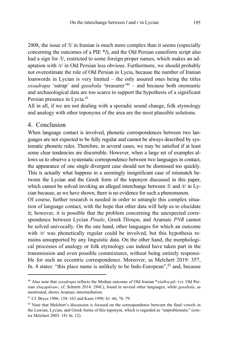2008, the issue of */l/* in Iranian is much more complex than it seems (especially concerning the outcomes of a PIE \**l*), and the Old Persian cuneiform script also had a sign for /l/, restricted to some foreign proper names, which makes an adaptation with /r/ in Old Persian less obvious. Furthermore, we should probably not overestimate the role of Old Persian in Lycia, because the number of Iranian loanwords in Lycian is very limited – the only assured ones being the titles *xssadrapa* 'satrap' and *gasabala* 'treasurer'40 – and because both onomastic and archaeological data are too scarce to support the hypothesis of a significant Persian presence in Lycia.<sup>41</sup>

All in all, if we are not dealing with a sporadic sound change, folk etymology and analogy with other toponyms of the area are the most plausible solutions.

#### 4. Conclusion

When language contact is involved, phonetic correspondences between two languages are not expected to be fully regular and cannot be always described by systematic phonetic rules. Therefore, in several cases, we may be satisfied if at least some clear tendencies are discernible. However, when a large set of examples allows us to observe a systematic correspondence between two languages in contact, the appearance of one single divergent case should not be dismissed too quickly. This is actually what happens in a seemingly insignificant case of mismatch between the Lycian and the Greek form of the toponym discussed in this paper, which cannot be solved invoking an alleged interchange between /l/ and /r/ in Lycian because, as we have shown, there is no evidence for such a phenomenon.

Of course, further research is needed in order to untangle this complex situation of language contact, with the hope that other data will help us to elucidate it; however, it is possible that the problem concerning the unexpected correspondence between Lycian *Pinale*, Greek Πίναρα, and Aramaic *PNR* cannot be solved univocally. On the one hand, other languages for which an outcome with /r/ was phonetically regular could be involved, but this hypothesis remains unsupported by any linguistic data. On the other hand, the morphological processes of analogy or folk etymology can indeed have taken part in the transmission and even possible commixtures, without being entirely responsible for such an eccentric correspondence. Moreover, as Melchert 2019: 357, fn. 4 states: "this place name is unlikely to be Indo-European", $42$  and, because

<sup>40</sup> Also note that *xssadrapa* reflects the Median outcome of Old Iranian \**xšaθra-pā-* (vs. Old Persian *xšaçapāvan-*; cf. Schmitt 2014: 284f.), found in several other languages, while *gasabala*, as mentioned, shows Aramaic intermediation.

<sup>41</sup> Cf. Bryce 1986: 158–163 and Keen 1998: 61–66, 76–79.

 $42$  Note that Melchert's discussion is focused on the correspondence between the final vowels in the Luwian, Lycian, and Greek forms of this toponym, which is regarded as "unproblematic" (contra Melchert 2003: 181 fn. 12).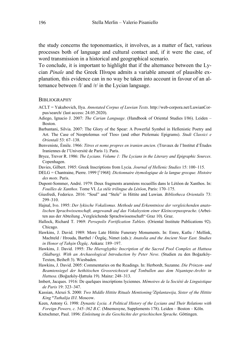the study concerns the toponomastics, it involves, as a matter of fact, various processes both of language and cultural contact and, if it were the case, of word transmission in a historical and geographical scenario.

To conclude, it is important to highlight that if the alternance between the Lycian *Pinale* and the Greek Πίναρα admits a variable amount of plausible explanation, this evidence can in no way be taken into account in favour of an alternance between /l/ and /r/ in the Lycian language.

#### BIBLIOGRAPHY

- ACLT = Yakubovich, Ilya. *Annotated Corpus of Luwian Texts*. http://web-corpora.net/LuwianCorpus/search/ (last access: 24.05.2020).
- Adiego, Ignacio J. 2007: *The Carian Language*. (Handbook of Oriental Studies I/86). Leiden Boston.
- Barbantani, Silvia. 2007: The Glory of the Spear: A Powerful Symbol in Hellenistic Poetry and Art. The Case of Neoptolemus «of Tlos» (and other Ptolemaic Epigrams). *Studi Classici e Orientali* 53: 67–138.
- Benveniste, Émile. 1966: *Titres et noms propres en iranien ancien*. (Travaux de l'Institut d'Études Iraniennes de l'Université de Paris 1). Paris.
- Bryce, Trevor R. 1986: *The Lycians. Volume 1: The Lycians in the Literary and Epigraphic Sources*. Copenhagen.
- Davies, Gilbert. 1985: Greek Inscriptions from Lycia. *Journal of Hellenic Studies* 15: 100–115.
- DELG = Chantraine, Pierre. 1999 [1 1968]: *Dictionnaire étymologique de la langue grecque. Histoire des mots*. Paris.
- Dupont-Sommer, André. 1979: Deux fragments araméens recueillis dans le Létôon de Xanthos. In: *Fouilles de Xanthos.* Tome VI. *La stèle trilingue du Létôon*, Paris: 170–175.
- Giusfredi, Federico. 2016: "Soul" and "Stele" in Hittite and Luwian. *Bibliotheca Orientalis* 73: 299–310.
- Hajnal, Ivo. 1995: *Der lykische Vokalismus. Methode und Erkenntnisse der vergleichenden anatolischen Sprachwissenschaft, angewandt auf das Vokalsystem einer Kleincorpussprache*. (Arbeiten aus der Abteilung "Vergleichende Sprachwissenschaft" Graz 10). Graz.
- Hallock, Richard T. 1969: *Persepolis Fortification Tablets*. (Oriental Institute Publications 92). Chicago.
- Hawkins, J. David. 1989: More Late Hittite Funerary Monuments. In: Emre, Kutlu / Mellink, Machteld / Hrouda, Barthel / Özgüç, Nimet (eds.): *Anatolia and the Ancient Near East. Studies in Honor of Tahşin Özgüç*. Ankara: 189–197.
- Hawkins, J. David. 1995: *The Hieroglyphic Inscription of the Sacred Pool Complex at Hattusa (Südburg). With an Archaeological Introduction by Peter Neve*. (Studien zu den Boğazköy-Texten, Beiheft 3). Wiesbaden.
- Hawkins, J. David. 2005: Commentaries on the Readings. In: Herbordt, Suzanne. *Die Prinzen- und Beamtensiegel der hethitischen Grossreichszeit auf Tonbullen aus dem Nişantepe-Archiv in Hattusa*. (Boğazköy-Ḫattuša 19). Mainz: 248–313.
- Imbert, Jacques. 1916: De quelques inscriptions lyciennes. *Mémoires de la Société de Linguistique de Paris* 19: 323–347.
- Kassian, Alexei S. 2000: *Two Middle Hittite Rituals Mentioning f Ziplantawija, Sister of the Hittite King mTuthalija II*/*I*. Moscow.
- Keen, Antony G. 1998: *Dynastic Lycia. A Political History of the Lycians and Their Relations with Foreign Powers, c. 545*–*362 B.C.* (Mnemosyne, Supplements 178). Leiden – Boston – Köln.
- Kretschmer, Paul. 1896: *Einleitung in die Geschichte der griechischen Sprache*. Göttingen.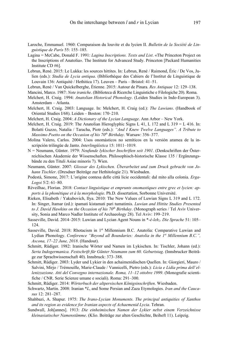- Laroche, Emmanuel. 1960: Comparaison du louvite et du lycien II. *Bulletin de la Société de Linguistique de Paris* 55: 155–185.
- Lagina = McCabe, Donald F. 1991: *Lagina Inscriptions. Texts and List*. «The Princeton Project on the Inscriptions of Anatolia». The Institute for Advanced Study. Princeton [Packard Humanities Institute CD #6].
- Lebrun, René. 2015: Le Lukka: les sources hittites. In: Lebrun, René / Raimond, Éric / De Vos, Julien (eds.): *Studia de Lycia antiqua*. (Bibliothèque des Cahiers de l'Institut de Linguistique de Louvain 136: Antiquité / Hethitica 17). Leuven – Paris – Bristol: 41–51.
- Lebrun, René / Van Quickelberghe, Étienne. 2015: Autour de Pinara. *Res Antiquae* 12: 129–138.
- Mancini, Marco. 1987: *Note iraniche*. (Biblioteca di Ricerche Linguistiche e Filologiche 20). Roma.
- Melchert, H. Craig. 1994: *Anatolian Historical Phonology*. (Leiden Studies in Indo-European 3). Amsterdam – Atlanta.
- Melchert, H. Craig. 2003: Language. In: Melchert, H. Craig (ed.): *The Luwians*. (Handbook of Oriental Studies I/68). Leiden – Boston: 170–210.
- Melchert, H. Craig. 2004: *A Dictionary of the Lycian Language*. Ann Arbor New York.
- Melchert, H. Craig. 2019: The Anatolian Hieroglyphic Signs L 41, L 172 and L 319 = L 416. In: Bolatti Guzzo, Natalia / Taracha, Piotr (eds.): *"And I Knew Twelve Languages". A Tribute to Massimo Poetto on the Occasion of his 70<sup>th</sup> Birthday*. Warsaw: 356–377.
- Molina Valero, Carlos. 2004: Usos onomásticos no semíticos en la versión aramea de la inscripción trilingüe de Janto. *Interlingüística* 15: 1011–1019.
- N = Neumann, Günter. 1979: *Neufunde lykischer Inschriften seit 1901*. (Denkschriften der Österreichischen Akademie der Wissenschaften. Philosophisch-historische Klasse 135 / Ergänzungsbände zu den Tituli Asiae minoris 7). Wien.
- Neumann, Günter. 2007: *Glossar des Lykischen. Überarbeitet und zum Druck gebracht von Johann Tischler*. (Dresdner Beiträge zur Hethitologie 21). Wiesbaden.
- Podestà, Simone, 2017: L'origine contesa delle città licie occidentali: dal mito alla colonia. *Erga-Logoi* 5/2: 61–80.
- Réveilhac, Florian. 2018: *Contact linguistique et emprunts onomastiques entre grec et lycien: apports à la phonétique et à la morphologie*. Ph.D. dissertation, Sorbonne Université.
- Rieken, Elisabeth / Yakubovich, Ilya. 2010: The New Values of Luwian Signs L 319 and L 172. In: Singer, Itamar (ed.): ipamati kistamati pari tumatimis. *Luwian and Hittite Studies Presented to J. David Hawkins on the Occasion of his 70<sup>th</sup> Birthday.* (Monograph series / Tel Aviv University, Sonia and Marco Nadler Institute of Archaeology 28). Tel Aviv: 199–219.
- Sasseville, David. 2014–2015: Luwian and Lycian Agent Nouns in \*-é-leh<sub>2</sub>. Die Sprache 51: 105– 124.
- Sasseville, David. 2018: Rhotacism in 1st Millennium B.C. Anatolia: Comparative Luwian and Lydian Phonology. *Conference "Beyond all Boundaries: Anatolia in the 1st Millennium B.C.", Ascona, 17–22 June, 2018*. (Handout).
- Schmitt, Rüdiger. 1982: Iranische Wörter und Namen im Lykischen. In: Tischler, Johann (ed.): *Serta Indogermanica. Festschrift für Günter Neumann zum 60. Geburtstag*. (Innsbrucker Beiträge zur Sprachwissenschaft 40). Innsbruck: 373–388.
- Schmitt, Rüdiger. 2003: Lyder und Lykier in den achaimenidischen Quellen. In: Giorgieri, Mauro / Salvini, Mirjo / Trémouille, Marie-Claude / Vannicelli, Pietro (eds.): *Licia e Lidia prima dell'ellenizzazione. Atti del Convegno internazionale. Roma, 11–12 ottobre 1999*. (Monografie scientifiche / CNR. Serie Scienze umane e sociali). Roma: 291–300.
- Schmitt, Rüdiger. 2014: *Wörterbuch der altpersischen Königsinschriften*. Wiesbaden.
- Schwartz, Martin. 2008: Iranian \**L*, and Some Persian and Zaza Etymologies. *Iran and the Caucasus* 12: 281–287.
- Shahbazi, A. Shapur. 1975: *The Irano-Lycian Monuments. The principal antiquities of Xanthos and its region as evidence for Iranian aspects of Achaemenid Lycia*. Tehran.
- Sundwall, Joh[annes]. 1913: *Die einheimischen Namen der Lykier nebst einem Verzeichnisse kleinasiatischer Namenstämme*. (Klio. Beiträge zur alten Geschichte, Beiheft 11). Leipzig.